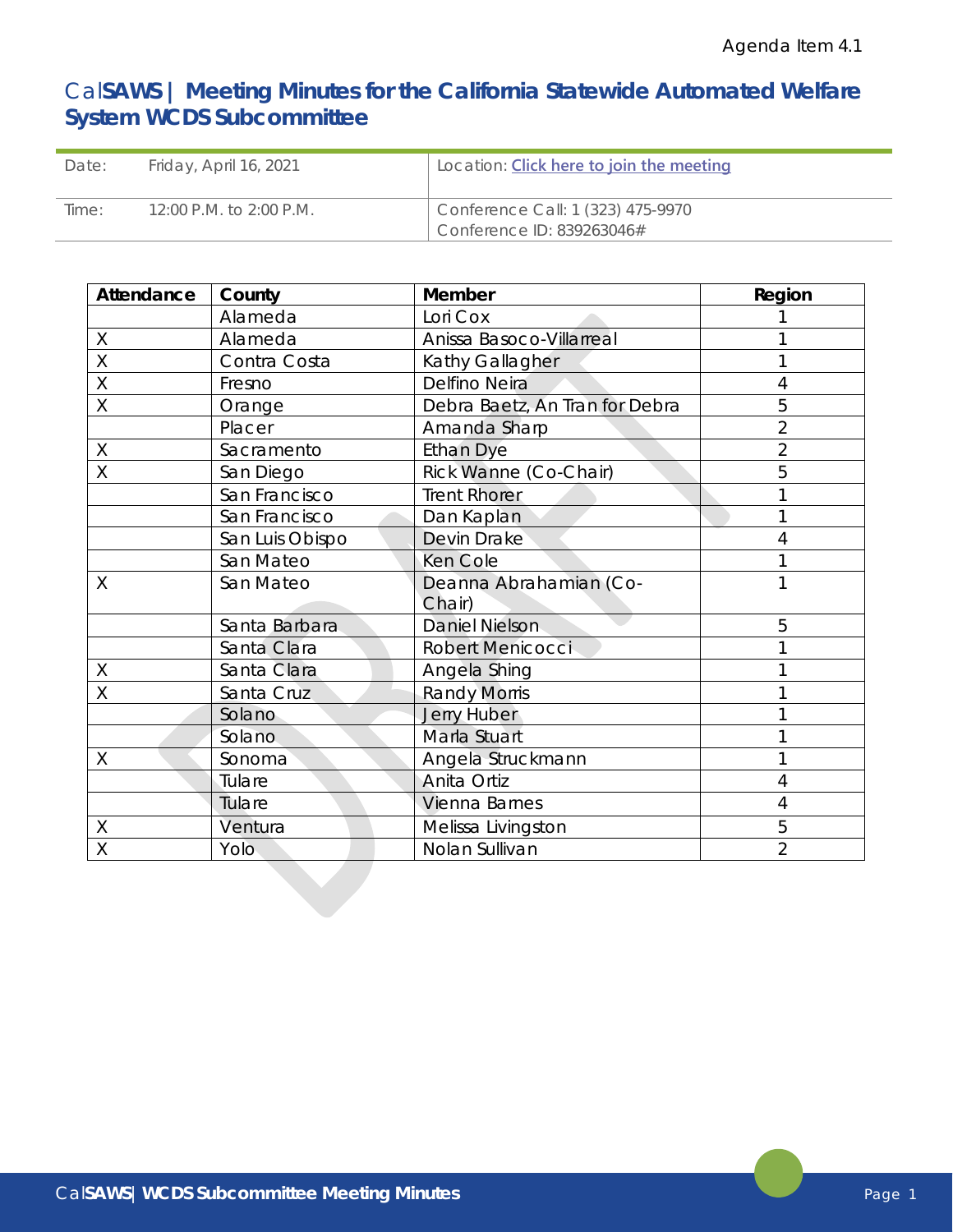# Cal**SAWS | Meeting Minutes for the California Statewide Automated Welfare System WCDS Subcommittee**

| Date: | Friday, April 16, 2021  | Location: <b>Click here to join the meeting</b> |
|-------|-------------------------|-------------------------------------------------|
| Time: | 12:00 P.M. to 2:00 P.M. | Conference Call: 1 (323) 475-9970               |
|       |                         | Conference ID: 839263046#                       |

| Attendance | County          | Member                         | Region         |
|------------|-----------------|--------------------------------|----------------|
|            | Alameda         | Lori Cox                       |                |
| X          | Alameda         | Anissa Basoco-Villarreal       |                |
| Χ          | Contra Costa    | Kathy Gallagher                |                |
| X          | Fresno          | Delfino Neira                  |                |
| Χ          | Orange          | Debra Baetz, An Tran for Debra | 5              |
|            | Placer          | Amanda Sharp                   | $\overline{2}$ |
| Χ          | Sacramento      | <b>Ethan Dye</b>               | $\overline{2}$ |
| X          | San Diego       | Rick Wanne (Co-Chair)          | 5              |
|            | San Francisco   | <b>Trent Rhorer</b>            |                |
|            | San Francisco   | Dan Kaplan                     |                |
|            | San Luis Obispo | Devin Drake                    |                |
|            | San Mateo       | Ken Cole                       |                |
| X          | San Mateo       | Deanna Abrahamian (Co-         |                |
|            |                 | Chair)                         |                |
|            | Santa Barbara   | <b>Daniel Nielson</b>          | 5              |
|            | Santa Clara     | <b>Robert Menicocci</b>        |                |
| Χ          | Santa Clara     | Angela Shing                   |                |
| X          | Santa Cruz      | <b>Randy Morris</b>            |                |
|            | Solano          | <b>Jerry Huber</b>             |                |
|            | Solano          | Marla Stuart                   |                |
| Χ          | Sonoma          | Angela Struckmann              |                |
|            | Tulare          | Anita Ortiz                    | 4              |
|            | Tulare          | Vienna Barnes                  | 4              |
| X          | Ventura         | Melissa Livingston             | 5              |
| X          | Yolo            | Nolan Sullivan                 | $\overline{2}$ |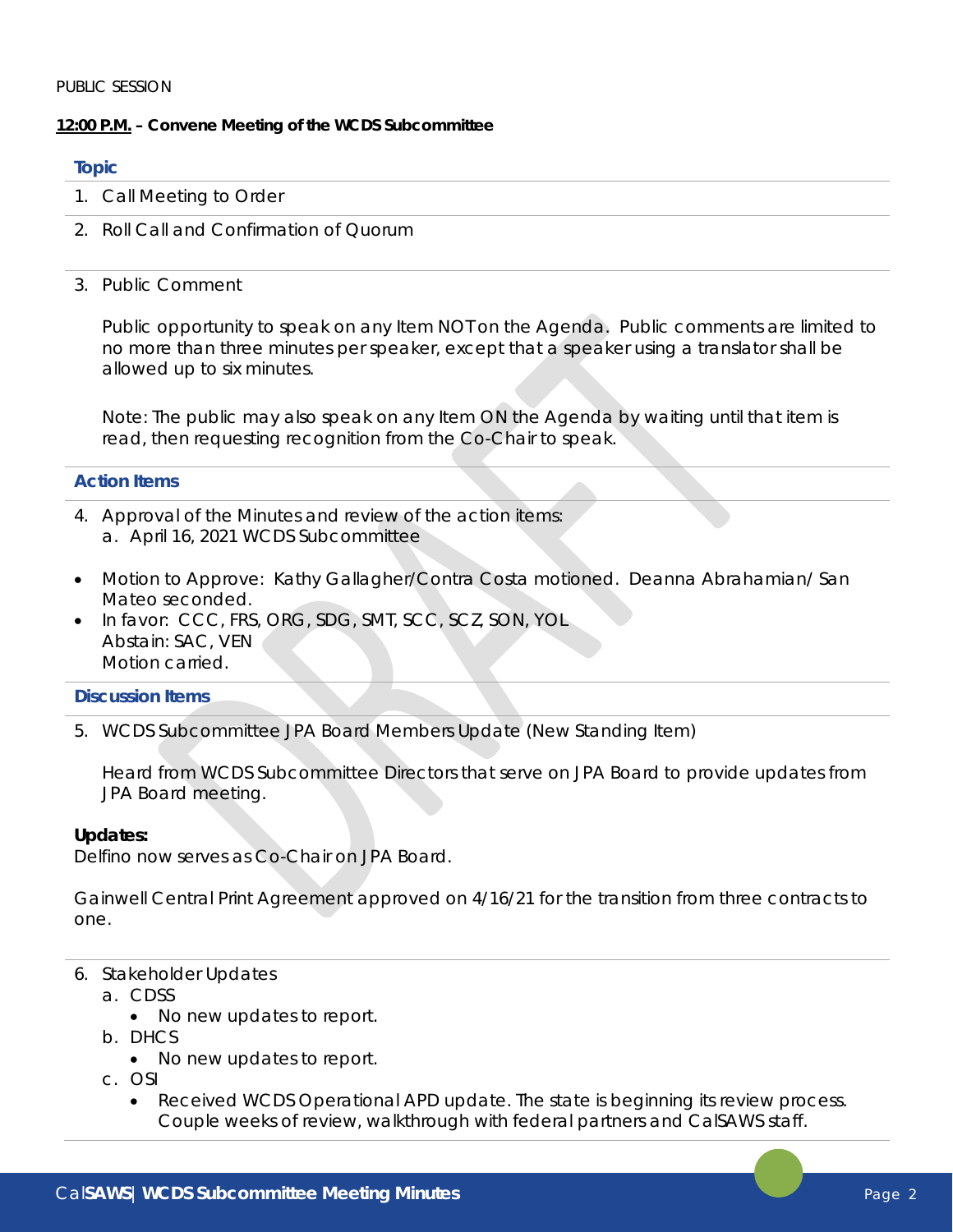# **12:00 P.M. – Convene Meeting of the WCDS Subcommittee**

# **Topic**

- 1. Call Meeting to Order
- 2. Roll Call and Confirmation of Quorum
- 3. Public Comment

Public opportunity to speak on any Item NOT on the Agenda. Public comments are limited to no more than three minutes per speaker, except that a speaker using a translator shall be allowed up to six minutes.

Note: The public may also speak on any Item ON the Agenda by waiting until that item is read, then requesting recognition from the Co-Chair to speak.

# **Action Items**

- 4. Approval of the Minutes and review of the action items: a. April 16, 2021 WCDS Subcommittee
- Motion to Approve: Kathy Gallagher/Contra Costa motioned. Deanna Abrahamian/ San Mateo seconded.
- In favor: CCC, FRS, ORG, SDG, SMT, SCC, SCZ, SON, YOL Abstain: SAC, VEN Motion carried.

# **Discussion Items**

5. WCDS Subcommittee JPA Board Members Update (New Standing Item)

Heard from WCDS Subcommittee Directors that serve on JPA Board to provide updates from JPA Board meeting.

#### **Updates:**

Delfino now serves as Co-Chair on JPA Board.

Gainwell Central Print Agreement approved on 4/16/21 for the transition from three contracts to one.

- 6. Stakeholder Updates
	- a. CDSS
		- No new updates to report.
	- b. DHCS
		- No new updates to report.
	- c. OSI
		- Received WCDS Operational APD update. The state is beginning its review process. Couple weeks of review, walkthrough with federal partners and CalSAWS staff.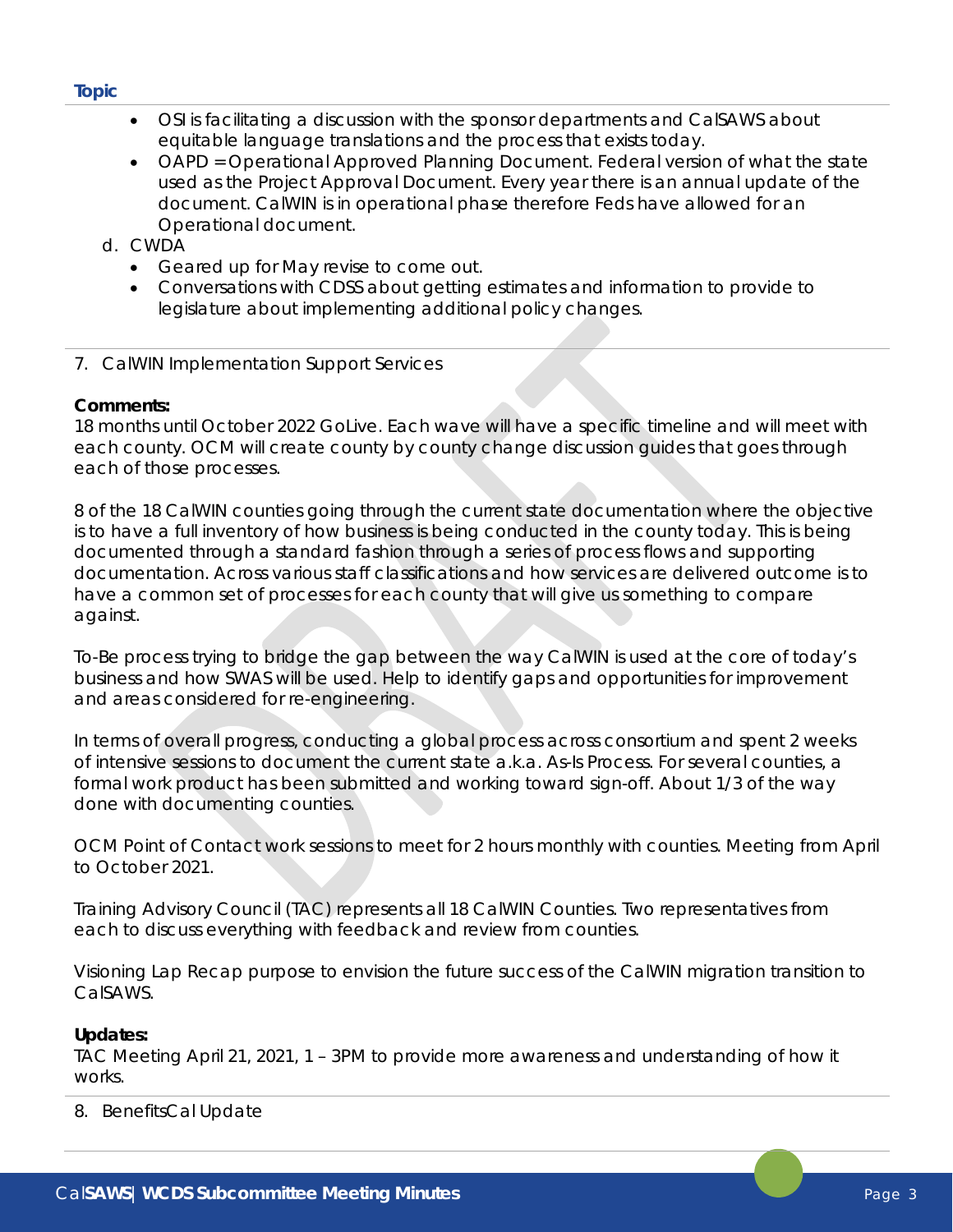# **Topic**

- OSI is facilitating a discussion with the sponsor departments and CalSAWS about equitable language translations and the process that exists today.
- OAPD = Operational Approved Planning Document. Federal version of what the state used as the Project Approval Document. Every year there is an annual update of the document. CalWIN is in operational phase therefore Feds have allowed for an Operational document.
- d. CWDA
	- Geared up for May revise to come out.
	- Conversations with CDSS about getting estimates and information to provide to legislature about implementing additional policy changes.
- 7. CalWIN Implementation Support Services

# **Comments:**

18 months until October 2022 GoLive. Each wave will have a specific timeline and will meet with each county. OCM will create county by county change discussion guides that goes through each of those processes.

8 of the 18 CalWIN counties going through the current state documentation where the objective is to have a full inventory of how business is being conducted in the county today. This is being documented through a standard fashion through a series of process flows and supporting documentation. Across various staff classifications and how services are delivered outcome is to have a common set of processes for each county that will give us something to compare against.

To-Be process trying to bridge the gap between the way CalWIN is used at the core of today's business and how SWAS will be used. Help to identify gaps and opportunities for improvement and areas considered for re-engineering.

In terms of overall progress, conducting a global process across consortium and spent 2 weeks of intensive sessions to document the current state a.k.a. As-Is Process. For several counties, a formal work product has been submitted and working toward sign-off. About 1/3 of the way done with documenting counties.

OCM Point of Contact work sessions to meet for 2 hours monthly with counties. Meeting from April to October 2021.

Training Advisory Council (TAC) represents all 18 CalWIN Counties. Two representatives from each to discuss everything with feedback and review from counties.

Visioning Lap Recap purpose to envision the future success of the CalWIN migration transition to CalSAWS.

# **Updates:**

TAC Meeting April 21, 2021, 1 – 3PM to provide more awareness and understanding of how it works.

8. BenefitsCal Update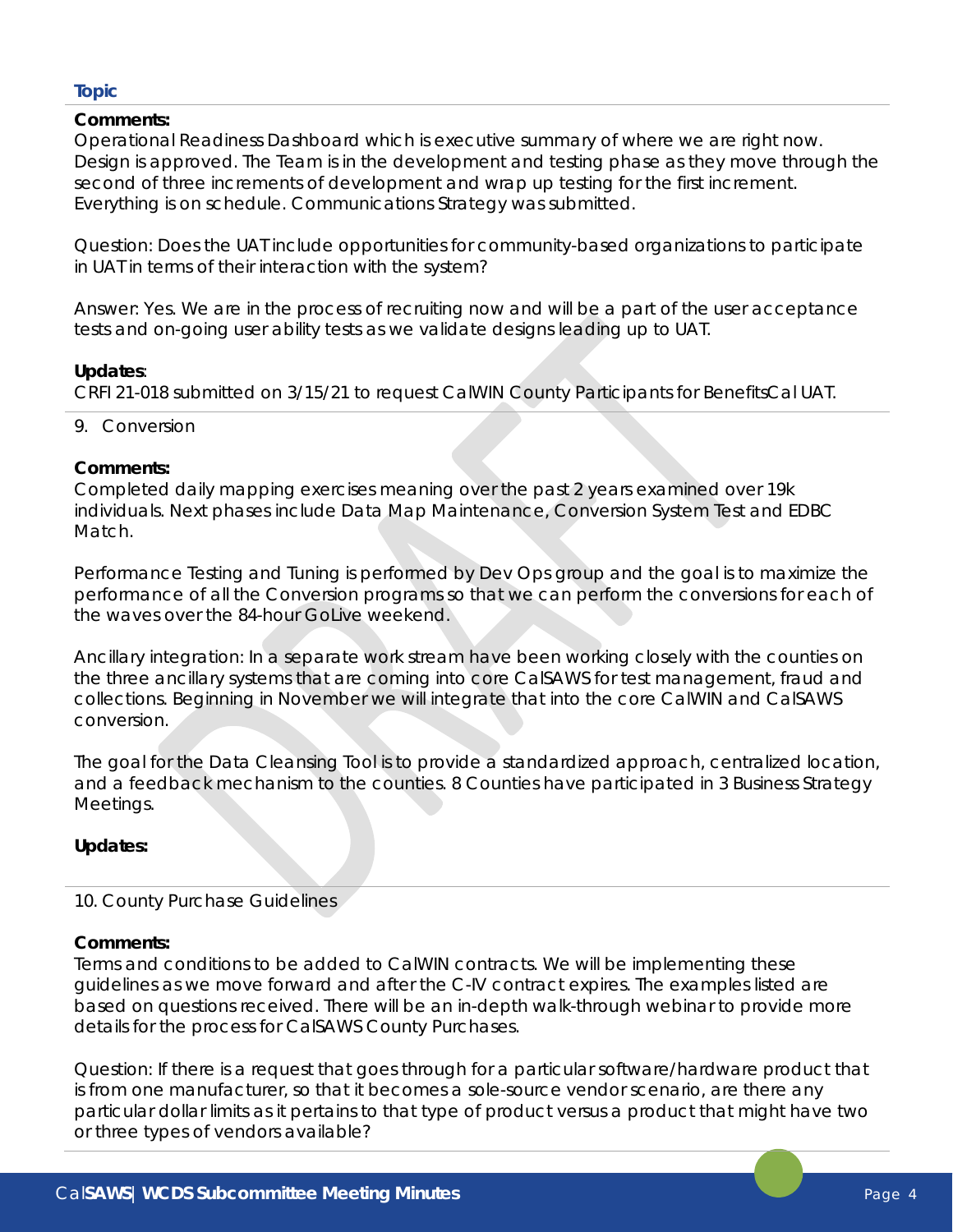# **Topic**

# **Comments:**

Operational Readiness Dashboard which is executive summary of where we are right now. Design is approved. The Team is in the development and testing phase as they move through the second of three increments of development and wrap up testing for the first increment. Everything is on schedule. Communications Strategy was submitted.

Question: Does the UAT include opportunities for community-based organizations to participate in UAT in terms of their interaction with the system?

Answer: Yes. We are in the process of recruiting now and will be a part of the user acceptance tests and on-going user ability tests as we validate designs leading up to UAT.

# **Updates**:

CRFI 21-018 submitted on 3/15/21 to request CalWIN County Participants for BenefitsCal UAT.

9. Conversion

# **Comments:**

Completed daily mapping exercises meaning over the past 2 years examined over 19k individuals. Next phases include Data Map Maintenance, Conversion System Test and EDBC Match.

Performance Testing and Tuning is performed by Dev Ops group and the goal is to maximize the performance of all the Conversion programs so that we can perform the conversions for each of the waves over the 84-hour GoLive weekend.

Ancillary integration: In a separate work stream have been working closely with the counties on the three ancillary systems that are coming into core CalSAWS for test management, fraud and collections. Beginning in November we will integrate that into the core CalWIN and CalSAWS conversion.

The goal for the Data Cleansing Tool is to provide a standardized approach, centralized location, and a feedback mechanism to the counties. 8 Counties have participated in 3 Business Strategy Meetings.

# **Updates:**

#### 10. County Purchase Guidelines

#### **Comments:**

Terms and conditions to be added to CalWIN contracts. We will be implementing these guidelines as we move forward and after the C-IV contract expires. The examples listed are based on questions received. There will be an in-depth walk-through webinar to provide more details for the process for CalSAWS County Purchases.

Question: If there is a request that goes through for a particular software/hardware product that is from one manufacturer, so that it becomes a sole-source vendor scenario, are there any particular dollar limits as it pertains to that type of product versus a product that might have two or three types of vendors available?